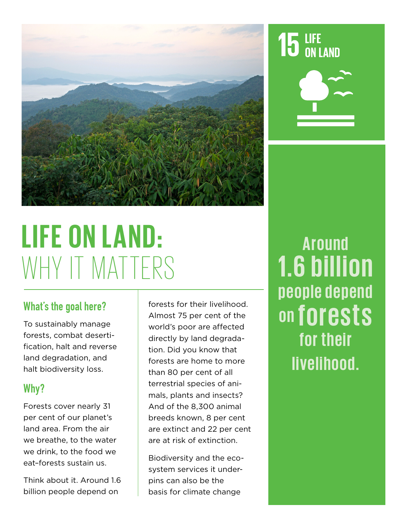

# **LIFE ON LAND:**  WHY IT MATTERS

#### What's the goal here?

To sustainably manage forests, combat desertification, halt and reverse land degradation, and halt biodiversity loss.

#### Why?

Forests cover nearly 31 per cent of our planet's land area. From the air we breathe, to the water we drink, to the food we eat–forests sustain us.

Think about it. Around 1.6 billion people depend on

forests for their livelihood. Almost 75 per cent of the world's poor are affected directly by land degradation. Did you know that forests are home to more than 80 per cent of all terrestrial species of animals, plants and insects? And of the 8,300 animal breeds known, 8 per cent are extinct and 22 per cent are at risk of extinction.

Biodiversity and the ecosystem services it underpins can also be the basis for climate change

# **Around 1.6 billion p e o p l e d e p e n d on forests for their**

**livelihood.**